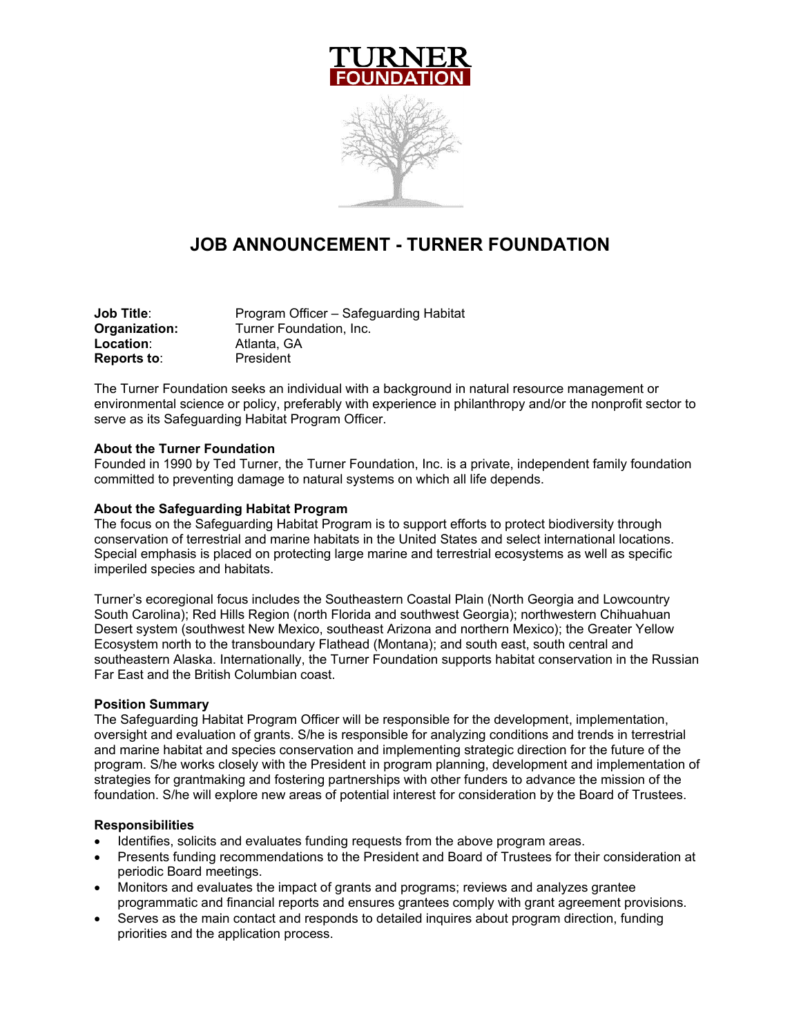

# **JOB ANNOUNCEMENT - TURNER FOUNDATION**

| Program Officer – Safeguarding Habitat |
|----------------------------------------|
| Turner Foundation. Inc.                |
| Atlanta, GA                            |
| President                              |
|                                        |

The Turner Foundation seeks an individual with a background in natural resource management or environmental science or policy, preferably with experience in philanthropy and/or the nonprofit sector to serve as its Safeguarding Habitat Program Officer.

#### **About the Turner Foundation**

Founded in 1990 by Ted Turner, the Turner Foundation, Inc. is a private, independent family foundation committed to preventing damage to natural systems on which all life depends.

#### **About the Safeguarding Habitat Program**

The focus on the Safeguarding Habitat Program is to support efforts to protect biodiversity through conservation of terrestrial and marine habitats in the United States and select international locations. Special emphasis is placed on protecting large marine and terrestrial ecosystems as well as specific imperiled species and habitats.

Turner's ecoregional focus includes the Southeastern Coastal Plain (North Georgia and Lowcountry South Carolina); Red Hills Region (north Florida and southwest Georgia); northwestern Chihuahuan Desert system (southwest New Mexico, southeast Arizona and northern Mexico); the Greater Yellow Ecosystem north to the transboundary Flathead (Montana); and south east, south central and southeastern Alaska. Internationally, the Turner Foundation supports habitat conservation in the Russian Far East and the British Columbian coast.

#### **Position Summary**

The Safeguarding Habitat Program Officer will be responsible for the development, implementation, oversight and evaluation of grants. S/he is responsible for analyzing conditions and trends in terrestrial and marine habitat and species conservation and implementing strategic direction for the future of the program. S/he works closely with the President in program planning, development and implementation of strategies for grantmaking and fostering partnerships with other funders to advance the mission of the foundation. S/he will explore new areas of potential interest for consideration by the Board of Trustees.

#### **Responsibilities**

- Identifies, solicits and evaluates funding requests from the above program areas.
- Presents funding recommendations to the President and Board of Trustees for their consideration at periodic Board meetings.
- Monitors and evaluates the impact of grants and programs; reviews and analyzes grantee programmatic and financial reports and ensures grantees comply with grant agreement provisions.
- Serves as the main contact and responds to detailed inquires about program direction, funding priorities and the application process.